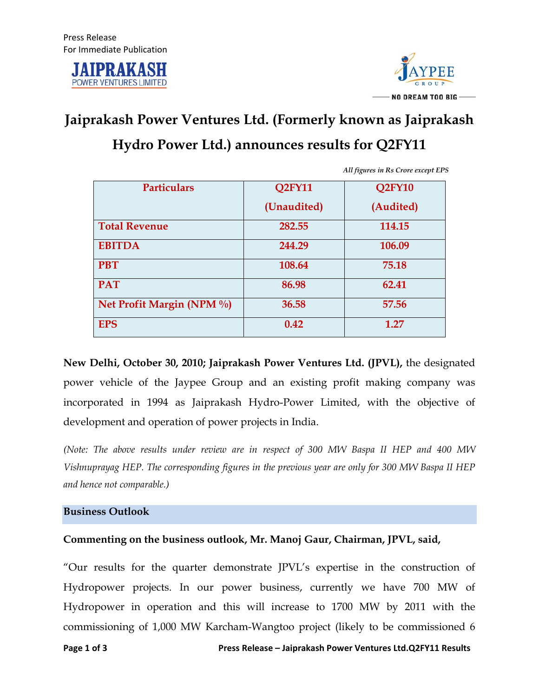



# **Jaiprakash Power Ventures Ltd. (Formerly known as Jaiprakash**

## **Hydro Power Ltd.) announces results for Q2FY11**

| <b>Particulars</b>        | Q <sub>2</sub> FY <sub>11</sub> | Q <sub>2</sub> FY <sub>10</sub> |
|---------------------------|---------------------------------|---------------------------------|
|                           | (Unaudited)                     | (Audited)                       |
| <b>Total Revenue</b>      | 282.55                          | 114.15                          |
| <b>EBITDA</b>             | 244.29                          | 106.09                          |
| <b>PBT</b>                | 108.64                          | 75.18                           |
| <b>PAT</b>                | 86.98                           | 62.41                           |
| Net Profit Margin (NPM %) | 36.58                           | 57.56                           |
| <b>EPS</b>                | 0.42                            | 1.27                            |

*All figures in Rs Crore except EPS*

**New Delhi, October 30, 2010; Jaiprakash Power Ventures Ltd. (JPVL),** the designated power vehicle of the Jaypee Group and an existing profit making company was incorporated in 1994 as Jaiprakash Hydro-Power Limited, with the objective of development and operation of power projects in India.

*(Note: The above results under review are in respect of 300 MW Baspa II HEP and 400 MW Vishnuprayag HEP. The corresponding figures in the previous year are only for 300 MW Baspa II HEP and hence not comparable.)* 

#### **Business Outlook**

### **Commenting on the business outlook, Mr. Manoj Gaur, Chairman, JPVL, said,**

"Our results for the quarter demonstrate JPVL's expertise in the construction of Hydropower projects. In our power business, currently we have 700 MW of Hydropower in operation and this will increase to 1700 MW by 2011 with the commissioning of 1,000 MW Karcham-Wangtoo project (likely to be commissioned 6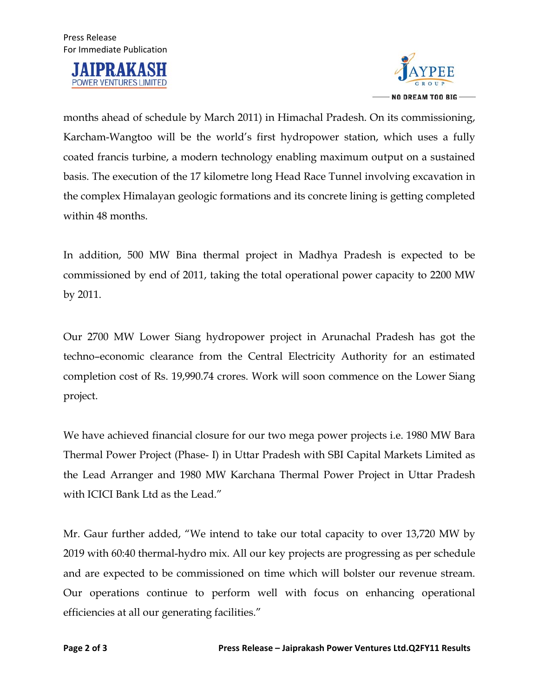



months ahead of schedule by March 2011) in Himachal Pradesh. On its commissioning, Karcham-Wangtoo will be the world's first hydropower station, which uses a fully coated francis turbine, a modern technology enabling maximum output on a sustained basis. The execution of the 17 kilometre long Head Race Tunnel involving excavation in the complex Himalayan geologic formations and its concrete lining is getting completed within 48 months.

In addition, 500 MW Bina thermal project in Madhya Pradesh is expected to be commissioned by end of 2011, taking the total operational power capacity to 2200 MW by 2011.

Our 2700 MW Lower Siang hydropower project in Arunachal Pradesh has got the techno–economic clearance from the Central Electricity Authority for an estimated completion cost of Rs. 19,990.74 crores. Work will soon commence on the Lower Siang project.

We have achieved financial closure for our two mega power projects i.e. 1980 MW Bara Thermal Power Project (Phase- I) in Uttar Pradesh with SBI Capital Markets Limited as the Lead Arranger and 1980 MW Karchana Thermal Power Project in Uttar Pradesh with ICICI Bank Ltd as the Lead."

Mr. Gaur further added, "We intend to take our total capacity to over 13,720 MW by 2019 with 60:40 thermal-hydro mix. All our key projects are progressing as per schedule and are expected to be commissioned on time which will bolster our revenue stream. Our operations continue to perform well with focus on enhancing operational efficiencies at all our generating facilities."